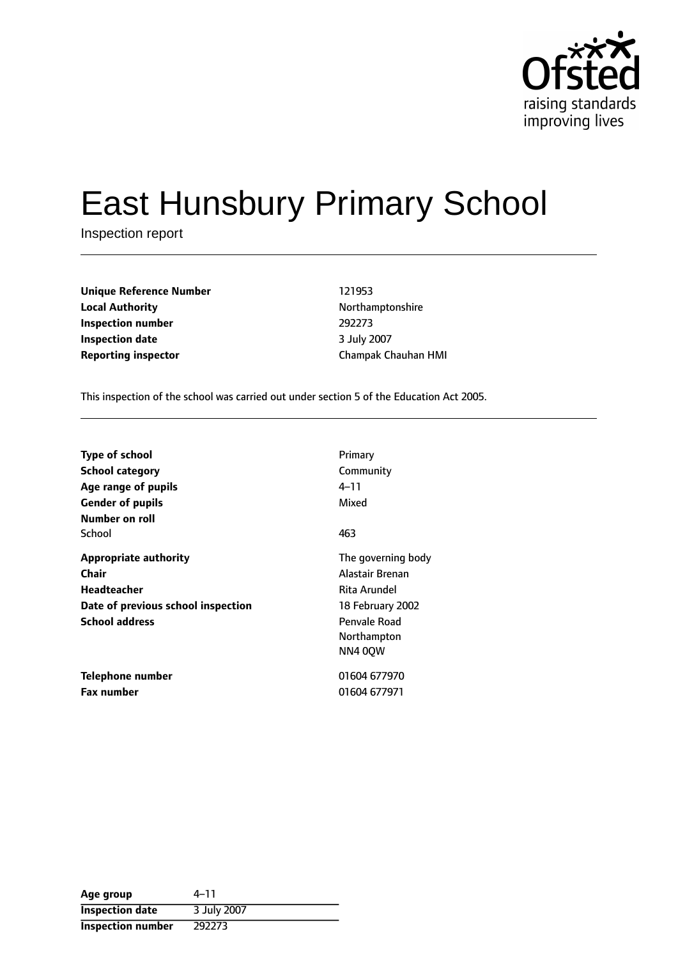

# East Hunsbury Primary School

Inspection report

**Unique Reference Number** 121953 **Local Authority Northamptonshire Inspection number** 292273 **Inspection date** 3 July 2007 **Reporting inspector** Champak Chauhan HMI

This inspection of the school was carried out under section 5 of the Education Act 2005.

| <b>Type of school</b><br><b>School category</b><br>Age range of pupils<br><b>Gender of pupils</b><br>Number on roll        | Primary<br>Community<br>4–11<br>Mixed                                                                                      |
|----------------------------------------------------------------------------------------------------------------------------|----------------------------------------------------------------------------------------------------------------------------|
| School                                                                                                                     | 463                                                                                                                        |
| <b>Appropriate authority</b><br>Chair<br><b>Headteacher</b><br>Date of previous school inspection<br><b>School address</b> | The governing body<br>Alastair Brenan<br>Rita Arundel<br>18 February 2002<br>Penvale Road<br>Northampton<br><b>NN4 00W</b> |
| Telephone number<br><b>Fax number</b>                                                                                      | 01604 677970<br>01604 677971                                                                                               |

| Age group                | $4 - 11$    |
|--------------------------|-------------|
| <b>Inspection date</b>   | 3 July 2007 |
| <b>Inspection number</b> | 292273      |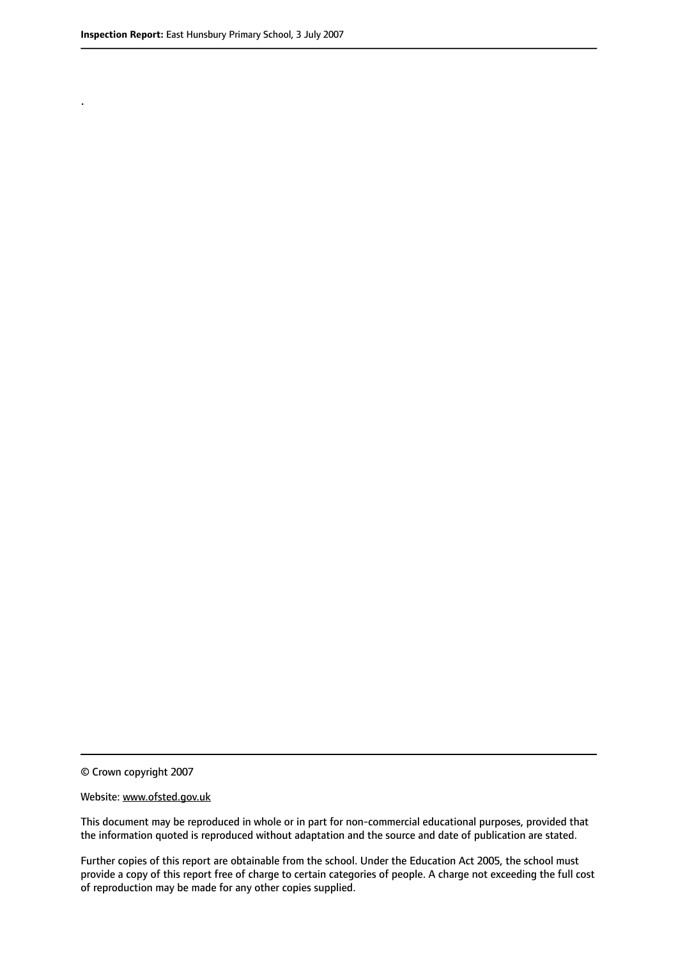.

© Crown copyright 2007

#### Website: www.ofsted.gov.uk

This document may be reproduced in whole or in part for non-commercial educational purposes, provided that the information quoted is reproduced without adaptation and the source and date of publication are stated.

Further copies of this report are obtainable from the school. Under the Education Act 2005, the school must provide a copy of this report free of charge to certain categories of people. A charge not exceeding the full cost of reproduction may be made for any other copies supplied.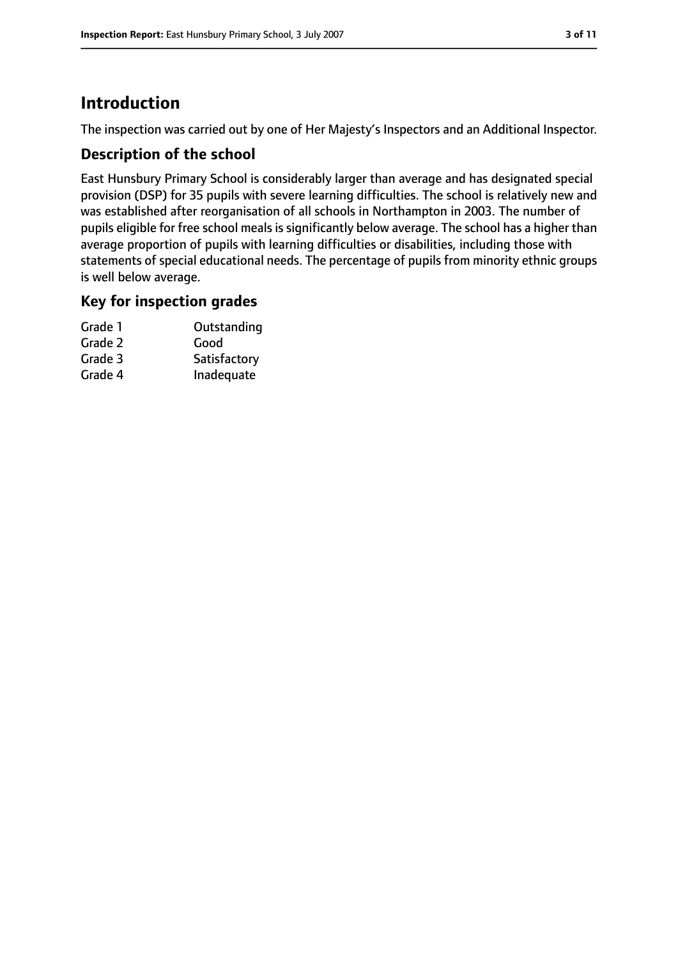# **Introduction**

The inspection was carried out by one of Her Majesty's Inspectors and an Additional Inspector.

## **Description of the school**

East Hunsbury Primary School is considerably larger than average and has designated special provision (DSP) for 35 pupils with severe learning difficulties. The school is relatively new and was established after reorganisation of all schools in Northampton in 2003. The number of pupils eligible for free school meals is significantly below average. The school has a higher than average proportion of pupils with learning difficulties or disabilities, including those with statements of special educational needs. The percentage of pupils from minority ethnic groups is well below average.

#### **Key for inspection grades**

| Grade 1 | Outstanding  |
|---------|--------------|
| Grade 2 | Good         |
| Grade 3 | Satisfactory |
| Grade 4 | Inadequate   |
|         |              |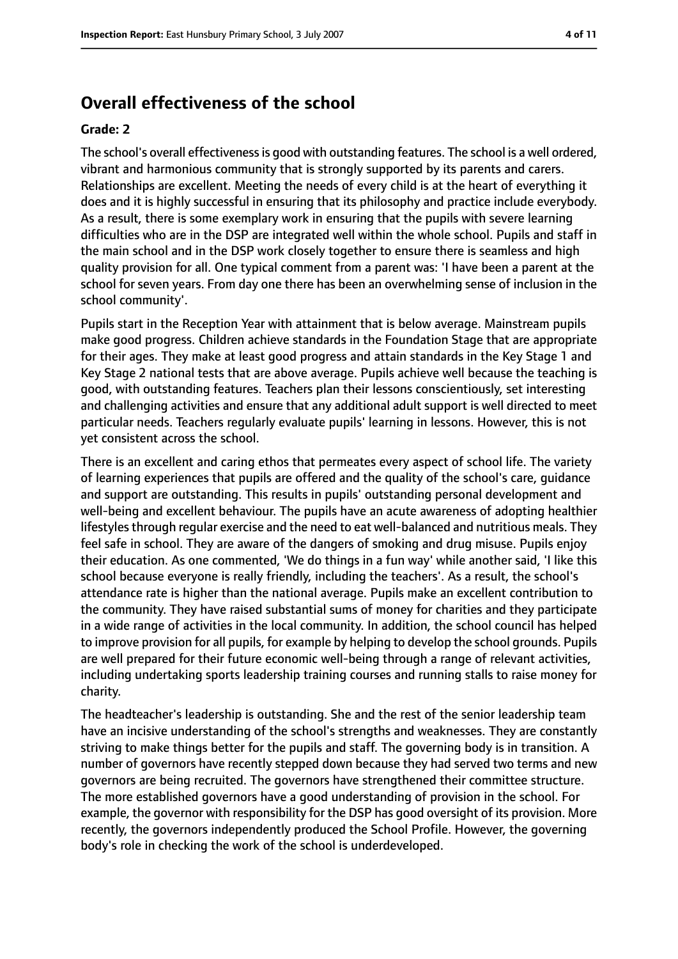# **Overall effectiveness of the school**

#### **Grade: 2**

The school's overall effectivenessis good with outstanding features. The school is a well ordered, vibrant and harmonious community that is strongly supported by its parents and carers. Relationships are excellent. Meeting the needs of every child is at the heart of everything it does and it is highly successful in ensuring that its philosophy and practice include everybody. As a result, there is some exemplary work in ensuring that the pupils with severe learning difficulties who are in the DSP are integrated well within the whole school. Pupils and staff in the main school and in the DSP work closely together to ensure there is seamless and high quality provision for all. One typical comment from a parent was: 'I have been a parent at the school for seven years. From day one there has been an overwhelming sense of inclusion in the school community'.

Pupils start in the Reception Year with attainment that is below average. Mainstream pupils make good progress. Children achieve standards in the Foundation Stage that are appropriate for their ages. They make at least good progress and attain standards in the Key Stage 1 and Key Stage 2 national tests that are above average. Pupils achieve well because the teaching is good, with outstanding features. Teachers plan their lessons conscientiously, set interesting and challenging activities and ensure that any additional adult support is well directed to meet particular needs. Teachers regularly evaluate pupils' learning in lessons. However, this is not yet consistent across the school.

There is an excellent and caring ethos that permeates every aspect of school life. The variety of learning experiences that pupils are offered and the quality of the school's care, guidance and support are outstanding. This results in pupils' outstanding personal development and well-being and excellent behaviour. The pupils have an acute awareness of adopting healthier lifestyles through regular exercise and the need to eat well-balanced and nutritious meals. They feel safe in school. They are aware of the dangers of smoking and drug misuse. Pupils enjoy their education. As one commented, 'We do things in a fun way' while another said, 'I like this school because everyone is really friendly, including the teachers'. As a result, the school's attendance rate is higher than the national average. Pupils make an excellent contribution to the community. They have raised substantial sums of money for charities and they participate in a wide range of activities in the local community. In addition, the school council has helped to improve provision for all pupils, for example by helping to develop the school grounds. Pupils are well prepared for their future economic well-being through a range of relevant activities, including undertaking sports leadership training courses and running stalls to raise money for charity.

The headteacher's leadership is outstanding. She and the rest of the senior leadership team have an incisive understanding of the school's strengths and weaknesses. They are constantly striving to make things better for the pupils and staff. The governing body is in transition. A number of governors have recently stepped down because they had served two terms and new governors are being recruited. The governors have strengthened their committee structure. The more established governors have a good understanding of provision in the school. For example, the governor with responsibility for the DSP has good oversight of its provision. More recently, the governors independently produced the School Profile. However, the governing body's role in checking the work of the school is underdeveloped.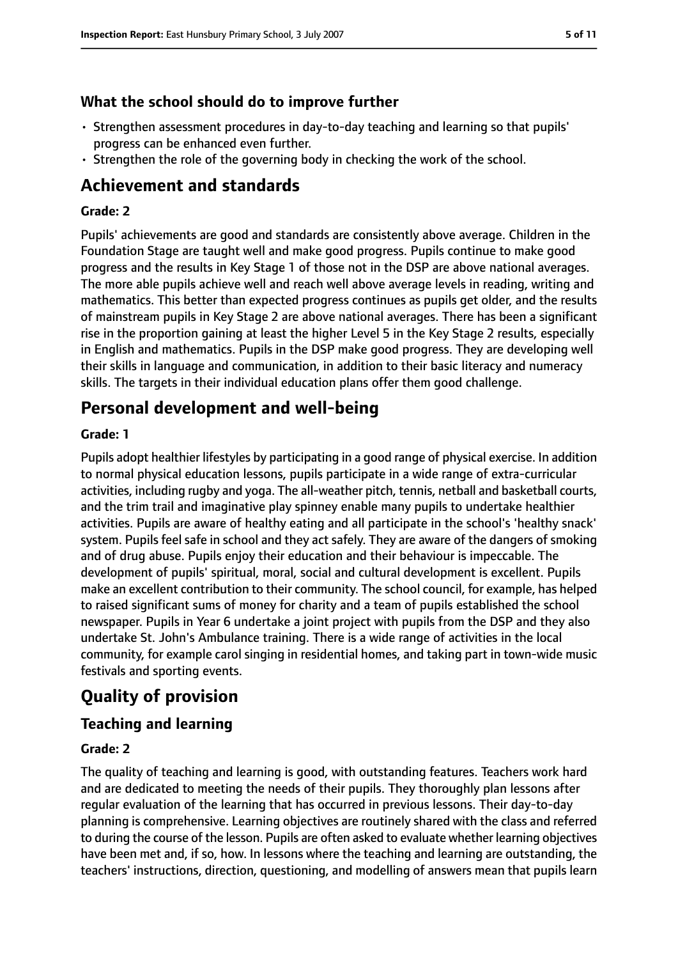## **What the school should do to improve further**

- Strengthen assessment procedures in day-to-day teaching and learning so that pupils' progress can be enhanced even further.
- Strengthen the role of the governing body in checking the work of the school.

# **Achievement and standards**

#### **Grade: 2**

Pupils' achievements are good and standards are consistently above average. Children in the Foundation Stage are taught well and make good progress. Pupils continue to make good progress and the results in Key Stage 1 of those not in the DSP are above national averages. The more able pupils achieve well and reach well above average levels in reading, writing and mathematics. This better than expected progress continues as pupils get older, and the results of mainstream pupils in Key Stage 2 are above national averages. There has been a significant rise in the proportion gaining at least the higher Level 5 in the Key Stage 2 results, especially in English and mathematics. Pupils in the DSP make good progress. They are developing well their skills in language and communication, in addition to their basic literacy and numeracy skills. The targets in their individual education plans offer them good challenge.

# **Personal development and well-being**

#### **Grade: 1**

Pupils adopt healthier lifestyles by participating in a good range of physical exercise. In addition to normal physical education lessons, pupils participate in a wide range of extra-curricular activities, including rugby and yoga. The all-weather pitch, tennis, netball and basketball courts, and the trim trail and imaginative play spinney enable many pupils to undertake healthier activities. Pupils are aware of healthy eating and all participate in the school's 'healthy snack' system. Pupils feel safe in school and they act safely. They are aware of the dangers of smoking and of drug abuse. Pupils enjoy their education and their behaviour is impeccable. The development of pupils' spiritual, moral, social and cultural development is excellent. Pupils make an excellent contribution to their community. The school council, for example, has helped to raised significant sums of money for charity and a team of pupils established the school newspaper. Pupils in Year 6 undertake a joint project with pupils from the DSP and they also undertake St. John's Ambulance training. There is a wide range of activities in the local community, for example carol singing in residential homes, and taking part in town-wide music festivals and sporting events.

# **Quality of provision**

## **Teaching and learning**

#### **Grade: 2**

The quality of teaching and learning is good, with outstanding features. Teachers work hard and are dedicated to meeting the needs of their pupils. They thoroughly plan lessons after regular evaluation of the learning that has occurred in previous lessons. Their day-to-day planning is comprehensive. Learning objectives are routinely shared with the class and referred to during the course of the lesson. Pupils are often asked to evaluate whether learning objectives have been met and, if so, how. In lessons where the teaching and learning are outstanding, the teachers' instructions, direction, questioning, and modelling of answers mean that pupils learn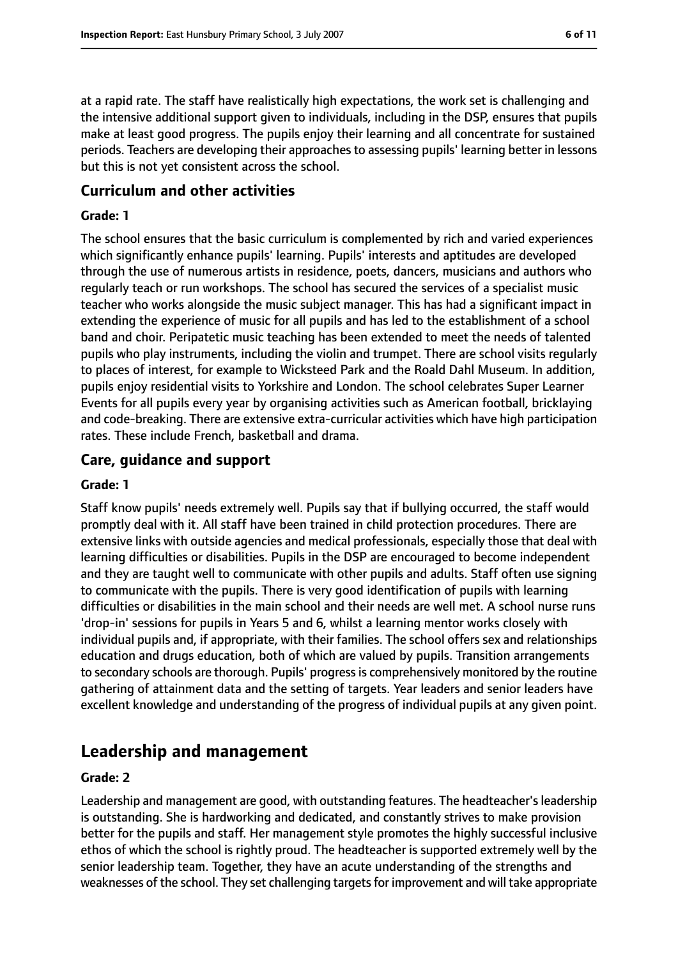at a rapid rate. The staff have realistically high expectations, the work set is challenging and the intensive additional support given to individuals, including in the DSP, ensures that pupils make at least good progress. The pupils enjoy their learning and all concentrate for sustained periods. Teachers are developing their approaches to assessing pupils' learning better in lessons but this is not yet consistent across the school.

### **Curriculum and other activities**

#### **Grade: 1**

The school ensures that the basic curriculum is complemented by rich and varied experiences which significantly enhance pupils' learning. Pupils' interests and aptitudes are developed through the use of numerous artists in residence, poets, dancers, musicians and authors who regularly teach or run workshops. The school has secured the services of a specialist music teacher who works alongside the music subject manager. This has had a significant impact in extending the experience of music for all pupils and has led to the establishment of a school band and choir. Peripatetic music teaching has been extended to meet the needs of talented pupils who play instruments, including the violin and trumpet. There are school visits regularly to places of interest, for example to Wicksteed Park and the Roald Dahl Museum. In addition, pupils enjoy residential visits to Yorkshire and London. The school celebrates Super Learner Events for all pupils every year by organising activities such as American football, bricklaying and code-breaking. There are extensive extra-curricular activities which have high participation rates. These include French, basketball and drama.

## **Care, guidance and support**

#### **Grade: 1**

Staff know pupils' needs extremely well. Pupils say that if bullying occurred, the staff would promptly deal with it. All staff have been trained in child protection procedures. There are extensive links with outside agencies and medical professionals, especially those that deal with learning difficulties or disabilities. Pupils in the DSP are encouraged to become independent and they are taught well to communicate with other pupils and adults. Staff often use signing to communicate with the pupils. There is very good identification of pupils with learning difficulties or disabilities in the main school and their needs are well met. A school nurse runs 'drop-in' sessions for pupils in Years 5 and 6, whilst a learning mentor works closely with individual pupils and, if appropriate, with their families. The school offers sex and relationships education and drugs education, both of which are valued by pupils. Transition arrangements to secondary schools are thorough. Pupils' progressis comprehensively monitored by the routine gathering of attainment data and the setting of targets. Year leaders and senior leaders have excellent knowledge and understanding of the progress of individual pupils at any given point.

# **Leadership and management**

#### **Grade: 2**

Leadership and management are good, with outstanding features. The headteacher'sleadership is outstanding. She is hardworking and dedicated, and constantly strives to make provision better for the pupils and staff. Her management style promotes the highly successful inclusive ethos of which the school is rightly proud. The headteacher is supported extremely well by the senior leadership team. Together, they have an acute understanding of the strengths and weaknesses of the school. They set challenging targets for improvement and will take appropriate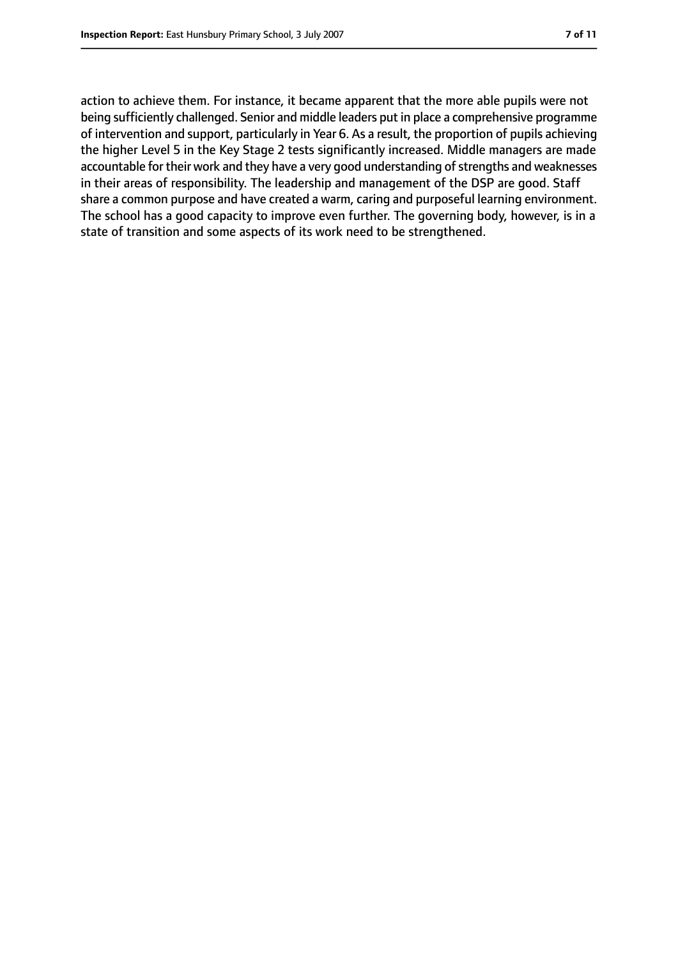action to achieve them. For instance, it became apparent that the more able pupils were not being sufficiently challenged. Senior and middle leaders put in place a comprehensive programme of intervention and support, particularly in Year 6. As a result, the proportion of pupils achieving the higher Level 5 in the Key Stage 2 tests significantly increased. Middle managers are made accountable for their work and they have a very good understanding of strengths and weaknesses in their areas of responsibility. The leadership and management of the DSP are good. Staff share a common purpose and have created a warm, caring and purposeful learning environment. The school has a good capacity to improve even further. The governing body, however, is in a state of transition and some aspects of its work need to be strengthened.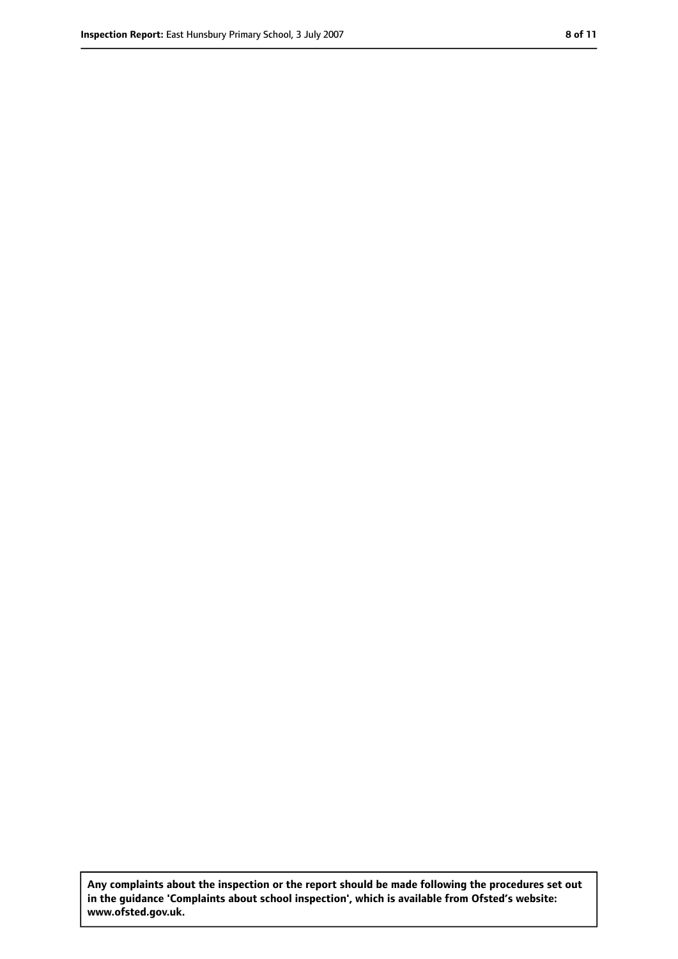**Any complaints about the inspection or the report should be made following the procedures set out in the guidance 'Complaints about school inspection', which is available from Ofsted's website: www.ofsted.gov.uk.**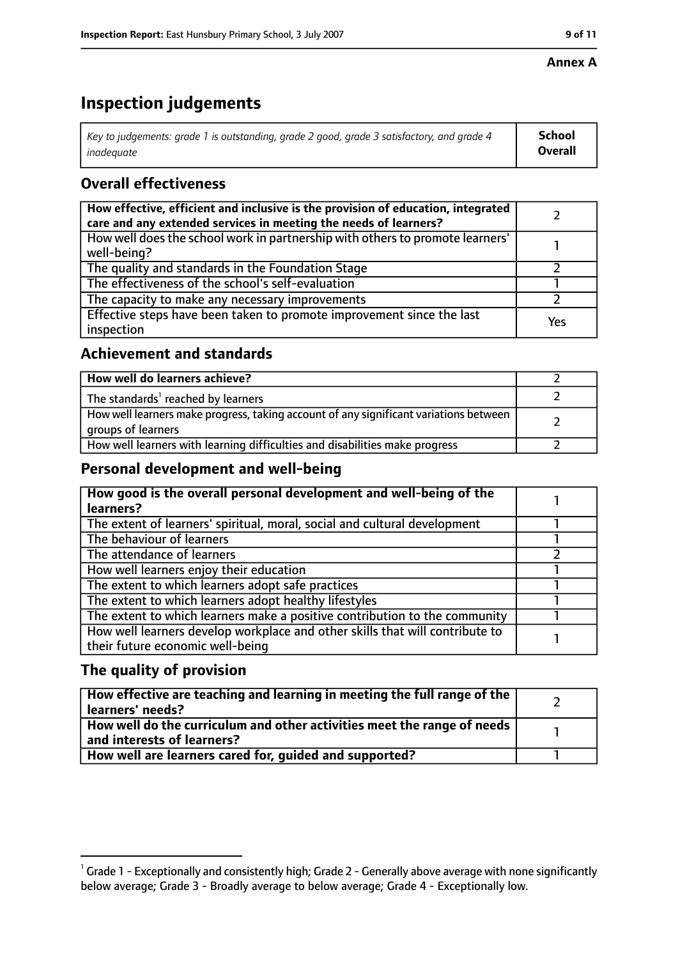#### **Annex A**

# **Inspection judgements**

| Key to judgements: grade 1 is outstanding, grade 2 good, grade 3 satisfactory, and grade 4 | <b>School</b>  |
|--------------------------------------------------------------------------------------------|----------------|
| inadeauate                                                                                 | <b>Overall</b> |

# **Overall effectiveness**

| How effective, efficient and inclusive is the provision of education, integrated<br>care and any extended services in meeting the needs of learners? |     |
|------------------------------------------------------------------------------------------------------------------------------------------------------|-----|
| How well does the school work in partnership with others to promote learners'<br>well-being?                                                         |     |
| The quality and standards in the Foundation Stage                                                                                                    |     |
| The effectiveness of the school's self-evaluation                                                                                                    |     |
| The capacity to make any necessary improvements                                                                                                      |     |
| Effective steps have been taken to promote improvement since the last<br>inspection                                                                  | Yes |

## **Achievement and standards**

| How well do learners achieve?                                                                               |  |
|-------------------------------------------------------------------------------------------------------------|--|
| The standards <sup>1</sup> reached by learners                                                              |  |
| How well learners make progress, taking account of any significant variations between<br>groups of learners |  |
| How well learners with learning difficulties and disabilities make progress                                 |  |

## **Personal development and well-being**

| How good is the overall personal development and well-being of the<br>learners? |  |
|---------------------------------------------------------------------------------|--|
|                                                                                 |  |
| The extent of learners' spiritual, moral, social and cultural development       |  |
| The behaviour of learners                                                       |  |
| The attendance of learners                                                      |  |
| How well learners enjoy their education                                         |  |
| The extent to which learners adopt safe practices                               |  |
| The extent to which learners adopt healthy lifestyles                           |  |
| The extent to which learners make a positive contribution to the community      |  |
| How well learners develop workplace and other skills that will contribute to    |  |
| their future economic well-being                                                |  |

## **The quality of provision**

| $\mid$ How effective are teaching and learning in meeting the full range of the $\mid$<br>  learners' needs?               |  |
|----------------------------------------------------------------------------------------------------------------------------|--|
| $\mid$ How well do the curriculum and other activities meet the range of needs $\mid$<br>$\mid$ and interests of learners? |  |
| How well are learners cared for, quided and supported?                                                                     |  |

 $^1$  Grade 1 - Exceptionally and consistently high; Grade 2 - Generally above average with none significantly below average; Grade 3 - Broadly average to below average; Grade 4 - Exceptionally low.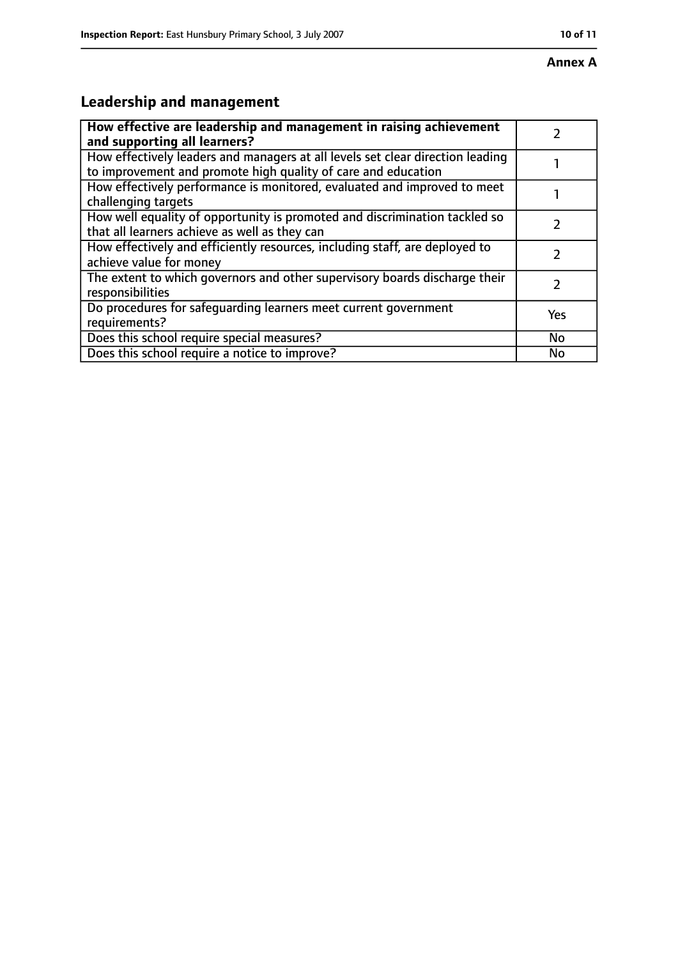# **Leadership and management**

| How effective are leadership and management in raising achievement<br>and supporting all learners?                                              |           |
|-------------------------------------------------------------------------------------------------------------------------------------------------|-----------|
| How effectively leaders and managers at all levels set clear direction leading<br>to improvement and promote high quality of care and education |           |
| How effectively performance is monitored, evaluated and improved to meet<br>challenging targets                                                 |           |
| How well equality of opportunity is promoted and discrimination tackled so<br>that all learners achieve as well as they can                     |           |
| How effectively and efficiently resources, including staff, are deployed to<br>achieve value for money                                          |           |
| The extent to which governors and other supervisory boards discharge their<br>responsibilities                                                  | 7         |
| Do procedures for safequarding learners meet current government<br>requirements?                                                                | Yes       |
| Does this school require special measures?                                                                                                      | <b>No</b> |
| Does this school require a notice to improve?                                                                                                   | No        |